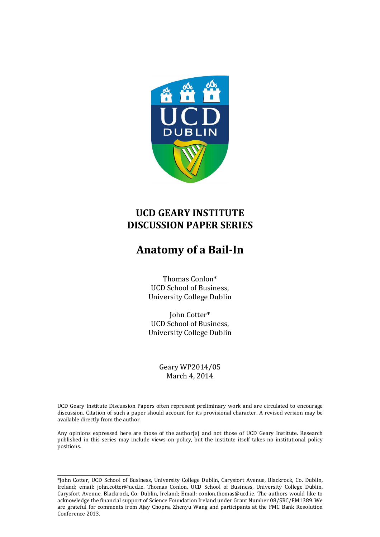

## **UCD GEARY INSTITUTE DISCUSSION PAPER SERIES**

# **Anatomy of a Bail-In**

Thomas Conlon\* UCD School of Business, University College Dublin

John Cotter\* UCD School of Business, University College Dublin

> Geary WP2014/05 March 4, 2014

UCD Geary Institute Discussion Papers often represent preliminary work and are circulated to encourage discussion. Citation of such a paper should account for its provisional character. A revised version may be available directly from the author.

Any opinions expressed here are those of the author(s) and not those of UCD Geary Institute. Research published in this series may include views on policy, but the institute itself takes no institutional policy positions.

\_\_\_\_\_\_\_\_\_\_\_\_\_\_\_\_\_\_\_\_\_\_\_\_\_\_\_\_\_\_\_\_\_\_ \*John Cotter, UCD School of Business, University College Dublin, Carysfort Avenue, Blackrock, Co. Dublin, Ireland; email: john.cotter@ucd.ie. Thomas Conlon, UCD School of Business, University College Dublin, Carysfort Avenue, Blackrock, Co. Dublin, Ireland; Email: conlon.thomas@ucd.ie. The authors would like to acknowledge the financial support of Science Foundation Ireland under Grant Number 08/SRC/FM1389. We are grateful for comments from Ajay Chopra, Zhenyu Wang and participants at the FMC Bank Resolution Conference 2013.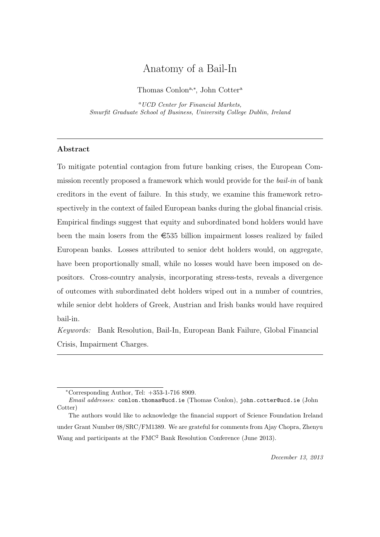## Anatomy of a Bail-In

Thomas Conlon<sup>a,∗</sup>, John Cotter<sup>a</sup>

<sup>a</sup>UCD Center for Financial Markets, Smurfit Graduate School of Business, University College Dublin, Ireland

## Abstract

To mitigate potential contagion from future banking crises, the European Commission recently proposed a framework which would provide for the bail-in of bank creditors in the event of failure. In this study, we examine this framework retrospectively in the context of failed European banks during the global financial crisis. Empirical findings suggest that equity and subordinated bond holders would have been the main losers from the  $\epsilon$ 535 billion impairment losses realized by failed European banks. Losses attributed to senior debt holders would, on aggregate, have been proportionally small, while no losses would have been imposed on depositors. Cross-country analysis, incorporating stress-tests, reveals a divergence of outcomes with subordinated debt holders wiped out in a number of countries, while senior debt holders of Greek, Austrian and Irish banks would have required bail-in.

Keywords: Bank Resolution, Bail-In, European Bank Failure, Global Financial Crisis, Impairment Charges.

<sup>∗</sup>Corresponding Author, Tel: +353-1-716 8909.

Email addresses: conlon.thomas@ucd.ie (Thomas Conlon), john.cotter@ucd.ie (John Cotter)

The authors would like to acknowledge the financial support of Science Foundation Ireland under Grant Number 08/SRC/FM1389. We are grateful for comments from Ajay Chopra, Zhenyu Wang and participants at the FMC<sup>2</sup> Bank Resolution Conference (June 2013).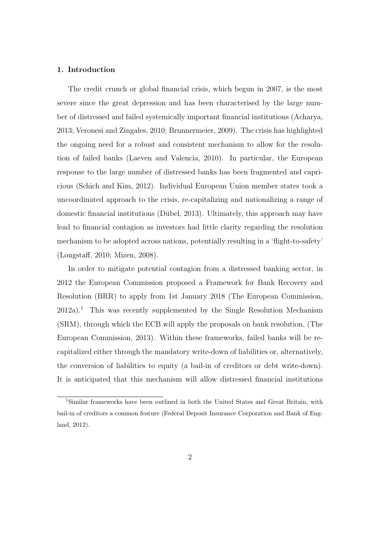## 1. Introduction

The credit crunch or global financial crisis, which begun in 2007, is the most severe since the great depression and has been characterised by the large number of distressed and failed systemically important financial institutions (Acharya, 2013; Veronesi and Zingales, 2010; Brunnermeier, 2009). The crisis has highlighted the ongoing need for a robust and consistent mechanism to allow for the resolution of failed banks (Laeven and Valencia, 2010). In particular, the European response to the large number of distressed banks has been fragmented and capricious (Schich and Kim, 2012). Individual European Union member states took a uncoordinated approach to the crisis, re-capitalizing and nationalizing a range of domestic financial institutions (Dübel, 2013). Ultimately, this approach may have lead to financial contagion as investors had little clarity regarding the resolution mechanism to be adopted across nations, potentially resulting in a 'flight-to-safety' (Longstaff, 2010; Mizen, 2008).

In order to mitigate potential contagion from a distressed banking sector, in 2012 the European Commission proposed a Framework for Bank Recovery and Resolution (BRR) to apply from 1st January 2018 (The European Commission,  $2012a$ <sup>1</sup>. This was recently supplemented by the Single Resolution Mechanism (SRM), through which the ECB will apply the proposals on bank resolution, (The European Commission, 2013). Within these frameworks, failed banks will be recapitalized either through the mandatory write-down of liabilities or, alternatively, the conversion of liabilities to equity (a bail-in of creditors or debt write-down). It is anticipated that this mechanism will allow distressed financial institutions

<sup>1</sup>Similar frameworks have been outlined in both the United States and Great Britain, with bail-in of creditors a common feature (Federal Deposit Insurance Corporation and Bank of England, 2012).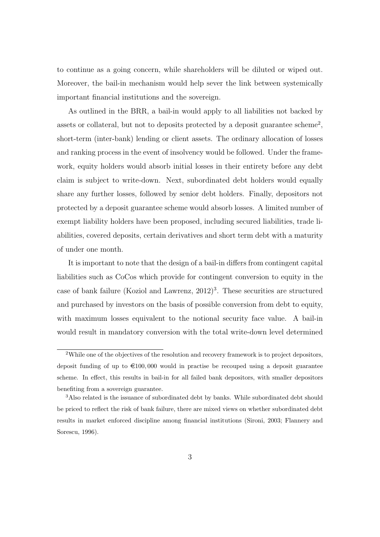to continue as a going concern, while shareholders will be diluted or wiped out. Moreover, the bail-in mechanism would help sever the link between systemically important financial institutions and the sovereign.

As outlined in the BRR, a bail-in would apply to all liabilities not backed by assets or collateral, but not to deposits protected by a deposit guarantee scheme<sup>2</sup>, short-term (inter-bank) lending or client assets. The ordinary allocation of losses and ranking process in the event of insolvency would be followed. Under the framework, equity holders would absorb initial losses in their entirety before any debt claim is subject to write-down. Next, subordinated debt holders would equally share any further losses, followed by senior debt holders. Finally, depositors not protected by a deposit guarantee scheme would absorb losses. A limited number of exempt liability holders have been proposed, including secured liabilities, trade liabilities, covered deposits, certain derivatives and short term debt with a maturity of under one month.

It is important to note that the design of a bail-in differs from contingent capital liabilities such as CoCos which provide for contingent conversion to equity in the case of bank failure (Koziol and Lawrenz,  $2012$ )<sup>3</sup>. These securities are structured and purchased by investors on the basis of possible conversion from debt to equity, with maximum losses equivalent to the notional security face value. A bail-in would result in mandatory conversion with the total write-down level determined

<sup>&</sup>lt;sup>2</sup>While one of the objectives of the resolution and recovery framework is to project depositors, deposit funding of up to  $\in 100,000$  would in practise be recouped using a deposit guarantee scheme. In effect, this results in bail-in for all failed bank depositors, with smaller depositors benefiting from a sovereign guarantee.

<sup>3</sup>Also related is the issuance of subordinated debt by banks. While subordinated debt should be priced to reflect the risk of bank failure, there are mixed views on whether subordinated debt results in market enforced discipline among financial institutions (Sironi, 2003; Flannery and Sorescu, 1996).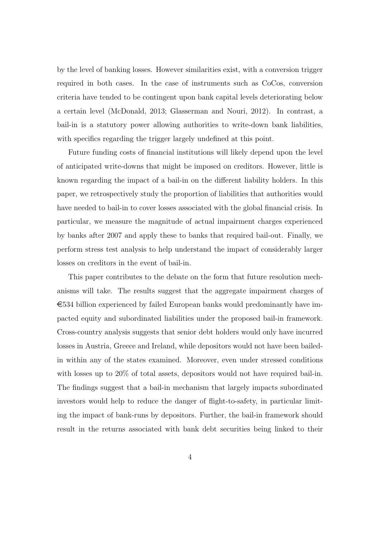by the level of banking losses. However similarities exist, with a conversion trigger required in both cases. In the case of instruments such as CoCos, conversion criteria have tended to be contingent upon bank capital levels deteriorating below a certain level (McDonald, 2013; Glasserman and Nouri, 2012). In contrast, a bail-in is a statutory power allowing authorities to write-down bank liabilities, with specifics regarding the trigger largely undefined at this point.

Future funding costs of financial institutions will likely depend upon the level of anticipated write-downs that might be imposed on creditors. However, little is known regarding the impact of a bail-in on the different liability holders. In this paper, we retrospectively study the proportion of liabilities that authorities would have needed to bail-in to cover losses associated with the global financial crisis. In particular, we measure the magnitude of actual impairment charges experienced by banks after 2007 and apply these to banks that required bail-out. Finally, we perform stress test analysis to help understand the impact of considerably larger losses on creditors in the event of bail-in.

This paper contributes to the debate on the form that future resolution mechanisms will take. The results suggest that the aggregate impairment charges of  $\epsilon$ 534 billion experienced by failed European banks would predominantly have impacted equity and subordinated liabilities under the proposed bail-in framework. Cross-country analysis suggests that senior debt holders would only have incurred losses in Austria, Greece and Ireland, while depositors would not have been bailedin within any of the states examined. Moreover, even under stressed conditions with losses up to 20% of total assets, depositors would not have required bail-in. The findings suggest that a bail-in mechanism that largely impacts subordinated investors would help to reduce the danger of flight-to-safety, in particular limiting the impact of bank-runs by depositors. Further, the bail-in framework should result in the returns associated with bank debt securities being linked to their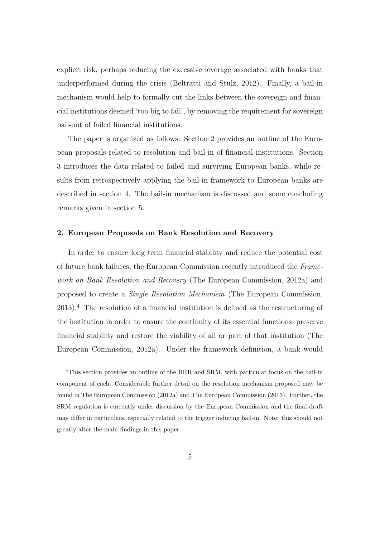explicit risk, perhaps reducing the excessive leverage associated with banks that underperformed during the crisis (Beltratti and Stulz, 2012). Finally, a bail-in mechanism would help to formally cut the links between the sovereign and financial institutions deemed 'too big to fail', by removing the requirement for sovereign bail-out of failed financial institutions.

The paper is organized as follows: Section 2 provides an outline of the European proposals related to resolution and bail-in of financial institutions. Section 3 introduces the data related to failed and surviving European banks, while results from retrospectively applying the bail-in framework to European banks are described in section 4. The bail-in mechanism is discussed and some concluding remarks given in section 5.

## 2. European Proposals on Bank Resolution and Recovery

In order to ensure long term financial stability and reduce the potential cost of future bank failures, the European Commission recently introduced the Framework on Bank Resolution and Recovery (The European Commission, 2012a) and proposed to create a Single Resolution Mechanism (The European Commission, 2013).<sup>4</sup> The resolution of a financial institution is defined as the restructuring of the institution in order to ensure the continuity of its essential functions, preserve financial stability and restore the viability of all or part of that institution (The European Commission, 2012a). Under the framework definition, a bank would

<sup>&</sup>lt;sup>4</sup>This section provides an outline of the BRR and SRM, with particular focus on the bail-in component of each. Considerable further detail on the resolution mechanism proposed may be found in The European Commission (2012a) and The European Commission (2013). Further, the SRM regulation is currently under discussion by the European Commission and the final draft may differ in particulars, especially related to the trigger inducing bail-in. Note: this should not greatly alter the main findings in this paper.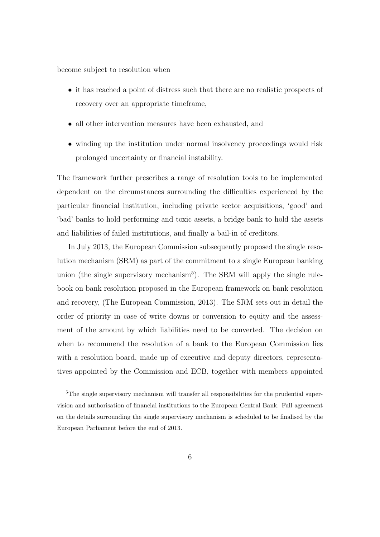become subject to resolution when

- it has reached a point of distress such that there are no realistic prospects of recovery over an appropriate timeframe,
- all other intervention measures have been exhausted, and
- winding up the institution under normal insolvency proceedings would risk prolonged uncertainty or financial instability.

The framework further prescribes a range of resolution tools to be implemented dependent on the circumstances surrounding the difficulties experienced by the particular financial institution, including private sector acquisitions, 'good' and 'bad' banks to hold performing and toxic assets, a bridge bank to hold the assets and liabilities of failed institutions, and finally a bail-in of creditors.

In July 2013, the European Commission subsequently proposed the single resolution mechanism (SRM) as part of the commitment to a single European banking union (the single supervisory mechanism<sup>5</sup>). The SRM will apply the single rulebook on bank resolution proposed in the European framework on bank resolution and recovery, (The European Commission, 2013). The SRM sets out in detail the order of priority in case of write downs or conversion to equity and the assessment of the amount by which liabilities need to be converted. The decision on when to recommend the resolution of a bank to the European Commission lies with a resolution board, made up of executive and deputy directors, representatives appointed by the Commission and ECB, together with members appointed

<sup>&</sup>lt;sup>5</sup>The single supervisory mechanism will transfer all responsibilities for the prudential supervision and authorisation of financial institutions to the European Central Bank. Full agreement on the details surrounding the single supervisory mechanism is scheduled to be finalised by the European Parliament before the end of 2013.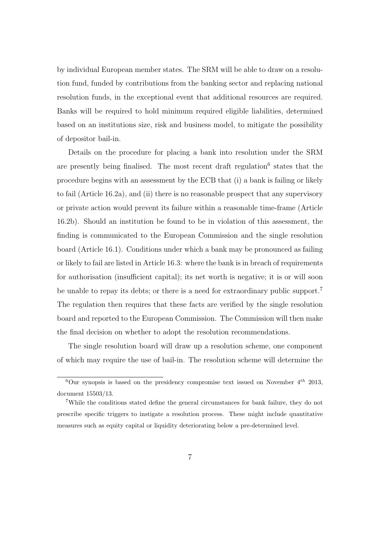by individual European member states. The SRM will be able to draw on a resolution fund, funded by contributions from the banking sector and replacing national resolution funds, in the exceptional event that additional resources are required. Banks will be required to hold minimum required eligible liabilities, determined based on an institutions size, risk and business model, to mitigate the possibility of depositor bail-in.

Details on the procedure for placing a bank into resolution under the SRM are presently being finalised. The most recent draft regulation<sup>6</sup> states that the procedure begins with an assessment by the ECB that (i) a bank is failing or likely to fail (Article 16.2a), and (ii) there is no reasonable prospect that any supervisory or private action would prevent its failure within a reasonable time-frame (Article 16.2b). Should an institution be found to be in violation of this assessment, the finding is communicated to the European Commission and the single resolution board (Article 16.1). Conditions under which a bank may be pronounced as failing or likely to fail are listed in Article 16.3: where the bank is in breach of requirements for authorisation (insufficient capital); its net worth is negative; it is or will soon be unable to repay its debts; or there is a need for extraordinary public support.<sup>7</sup> The regulation then requires that these facts are verified by the single resolution board and reported to the European Commission. The Commission will then make the final decision on whether to adopt the resolution recommendations.

The single resolution board will draw up a resolution scheme, one component of which may require the use of bail-in. The resolution scheme will determine the

<sup>&</sup>lt;sup>6</sup>Our synopsis is based on the presidency compromise text issued on November  $4^{th}$  2013, document 15503/13.

<sup>7</sup>While the conditions stated define the general circumstances for bank failure, they do not prescribe specific triggers to instigate a resolution process. These might include quantitative measures such as equity capital or liquidity deteriorating below a pre-determined level.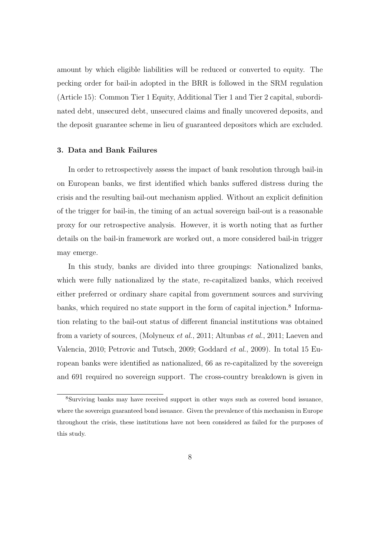amount by which eligible liabilities will be reduced or converted to equity. The pecking order for bail-in adopted in the BRR is followed in the SRM regulation (Article 15): Common Tier 1 Equity, Additional Tier 1 and Tier 2 capital, subordinated debt, unsecured debt, unsecured claims and finally uncovered deposits, and the deposit guarantee scheme in lieu of guaranteed depositors which are excluded.

### 3. Data and Bank Failures

In order to retrospectively assess the impact of bank resolution through bail-in on European banks, we first identified which banks suffered distress during the crisis and the resulting bail-out mechanism applied. Without an explicit definition of the trigger for bail-in, the timing of an actual sovereign bail-out is a reasonable proxy for our retrospective analysis. However, it is worth noting that as further details on the bail-in framework are worked out, a more considered bail-in trigger may emerge.

In this study, banks are divided into three groupings: Nationalized banks, which were fully nationalized by the state, re-capitalized banks, which received either preferred or ordinary share capital from government sources and surviving banks, which required no state support in the form of capital injection.<sup>8</sup> Information relating to the bail-out status of different financial institutions was obtained from a variety of sources, (Molyneux et al., 2011; Altunbas et al., 2011; Laeven and Valencia, 2010; Petrovic and Tutsch, 2009; Goddard et al., 2009). In total 15 European banks were identified as nationalized, 66 as re-capitalized by the sovereign and 691 required no sovereign support. The cross-country breakdown is given in

<sup>8</sup>Surviving banks may have received support in other ways such as covered bond issuance, where the sovereign guaranteed bond issuance. Given the prevalence of this mechanism in Europe throughout the crisis, these institutions have not been considered as failed for the purposes of this study.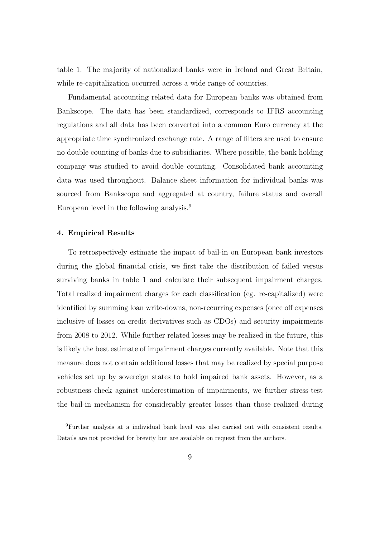table 1. The majority of nationalized banks were in Ireland and Great Britain, while re-capitalization occurred across a wide range of countries.

Fundamental accounting related data for European banks was obtained from Bankscope. The data has been standardized, corresponds to IFRS accounting regulations and all data has been converted into a common Euro currency at the appropriate time synchronized exchange rate. A range of filters are used to ensure no double counting of banks due to subsidiaries. Where possible, the bank holding company was studied to avoid double counting. Consolidated bank accounting data was used throughout. Balance sheet information for individual banks was sourced from Bankscope and aggregated at country, failure status and overall European level in the following analysis.<sup>9</sup>

## 4. Empirical Results

To retrospectively estimate the impact of bail-in on European bank investors during the global financial crisis, we first take the distribution of failed versus surviving banks in table 1 and calculate their subsequent impairment charges. Total realized impairment charges for each classification (eg. re-capitalized) were identified by summing loan write-downs, non-recurring expenses (once off expenses inclusive of losses on credit derivatives such as CDOs) and security impairments from 2008 to 2012. While further related losses may be realized in the future, this is likely the best estimate of impairment charges currently available. Note that this measure does not contain additional losses that may be realized by special purpose vehicles set up by sovereign states to hold impaired bank assets. However, as a robustness check against underestimation of impairments, we further stress-test the bail-in mechanism for considerably greater losses than those realized during

<sup>9</sup>Further analysis at a individual bank level was also carried out with consistent results. Details are not provided for brevity but are available on request from the authors.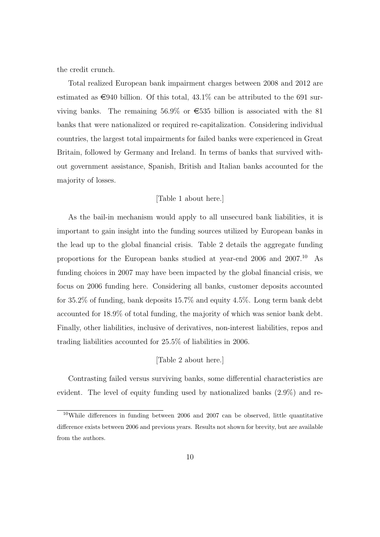the credit crunch.

Total realized European bank impairment charges between 2008 and 2012 are estimated as  $\epsilon$ 940 billion. Of this total, 43.1% can be attributed to the 691 surviving banks. The remaining 56.9% or  $\epsilon$ 535 billion is associated with the 81 banks that were nationalized or required re-capitalization. Considering individual countries, the largest total impairments for failed banks were experienced in Great Britain, followed by Germany and Ireland. In terms of banks that survived without government assistance, Spanish, British and Italian banks accounted for the majority of losses.

## [Table 1 about here.]

As the bail-in mechanism would apply to all unsecured bank liabilities, it is important to gain insight into the funding sources utilized by European banks in the lead up to the global financial crisis. Table 2 details the aggregate funding proportions for the European banks studied at year-end 2006 and 2007.<sup>10</sup> As funding choices in 2007 may have been impacted by the global financial crisis, we focus on 2006 funding here. Considering all banks, customer deposits accounted for 35.2% of funding, bank deposits 15.7% and equity 4.5%. Long term bank debt accounted for 18.9% of total funding, the majority of which was senior bank debt. Finally, other liabilities, inclusive of derivatives, non-interest liabilities, repos and trading liabilities accounted for 25.5% of liabilities in 2006.

## [Table 2 about here.]

Contrasting failed versus surviving banks, some differential characteristics are evident. The level of equity funding used by nationalized banks (2.9%) and re-

 $10$ While differences in funding between 2006 and 2007 can be observed, little quantitative difference exists between 2006 and previous years. Results not shown for brevity, but are available from the authors.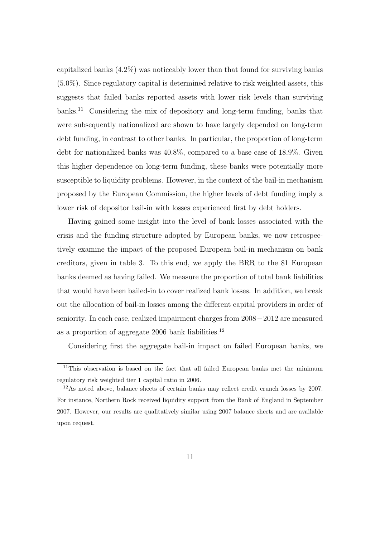capitalized banks (4.2%) was noticeably lower than that found for surviving banks (5.0%). Since regulatory capital is determined relative to risk weighted assets, this suggests that failed banks reported assets with lower risk levels than surviving banks.<sup>11</sup> Considering the mix of depository and long-term funding, banks that were subsequently nationalized are shown to have largely depended on long-term debt funding, in contrast to other banks. In particular, the proportion of long-term debt for nationalized banks was 40.8%, compared to a base case of 18.9%. Given this higher dependence on long-term funding, these banks were potentially more susceptible to liquidity problems. However, in the context of the bail-in mechanism proposed by the European Commission, the higher levels of debt funding imply a lower risk of depositor bail-in with losses experienced first by debt holders.

Having gained some insight into the level of bank losses associated with the crisis and the funding structure adopted by European banks, we now retrospectively examine the impact of the proposed European bail-in mechanism on bank creditors, given in table 3. To this end, we apply the BRR to the 81 European banks deemed as having failed. We measure the proportion of total bank liabilities that would have been bailed-in to cover realized bank losses. In addition, we break out the allocation of bail-in losses among the different capital providers in order of seniority. In each case, realized impairment charges from 2008−2012 are measured as a proportion of aggregate  $2006$  bank liabilities.<sup>12</sup>

Considering first the aggregate bail-in impact on failed European banks, we

 $11$ This observation is based on the fact that all failed European banks met the minimum regulatory risk weighted tier 1 capital ratio in 2006.

<sup>12</sup>As noted above, balance sheets of certain banks may reflect credit crunch losses by 2007. For instance, Northern Rock received liquidity support from the Bank of England in September 2007. However, our results are qualitatively similar using 2007 balance sheets and are available upon request.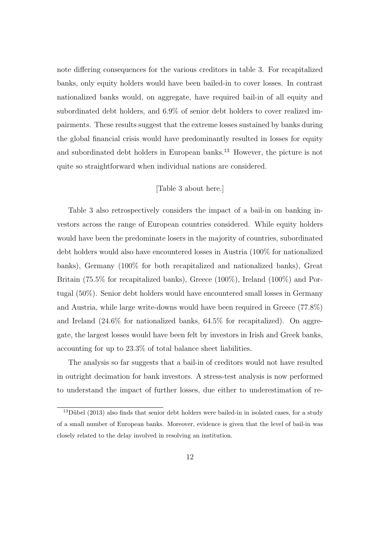note differing consequences for the various creditors in table 3. For recapitalized banks, only equity holders would have been bailed-in to cover losses. In contrast nationalized banks would, on aggregate, have required bail-in of all equity and subordinated debt holders, and 6.9% of senior debt holders to cover realized impairments. These results suggest that the extreme losses sustained by banks during the global financial crisis would have predominantly resulted in losses for equity and subordinated debt holders in European banks.<sup>13</sup> However, the picture is not quite so straightforward when individual nations are considered.

## [Table 3 about here.]

Table 3 also retrospectively considers the impact of a bail-in on banking investors across the range of European countries considered. While equity holders would have been the predominate losers in the majority of countries, subordinated debt holders would also have encountered losses in Austria (100% for nationalized banks), Germany (100% for both recapitalized and nationalized banks), Great Britain (75.5% for recapitalized banks), Greece (100%), Ireland (100%) and Portugal (50%). Senior debt holders would have encountered small losses in Germany and Austria, while large write-downs would have been required in Greece (77.8%) and Ireland (24.6% for nationalized banks, 64.5% for recapitalized). On aggregate, the largest losses would have been felt by investors in Irish and Greek banks, accounting for up to 23.3% of total balance sheet liabilities.

The analysis so far suggests that a bail-in of creditors would not have resulted in outright decimation for bank investors. A stress-test analysis is now performed to understand the impact of further losses, due either to underestimation of re-

 $13$ Dübel (2013) also finds that senior debt holders were bailed-in in isolated cases, for a study of a small number of European banks. Moreover, evidence is given that the level of bail-in was closely related to the delay involved in resolving an institution.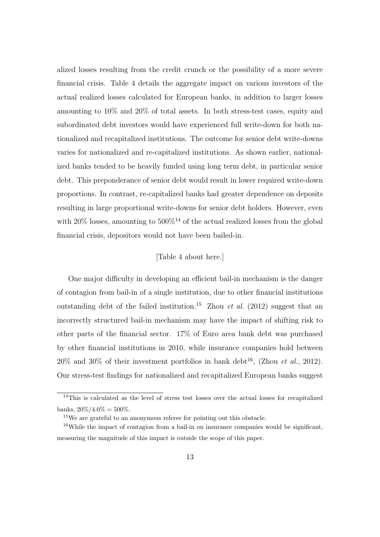alized losses resulting from the credit crunch or the possibility of a more severe financial crisis. Table 4 details the aggregate impact on various investors of the actual realized losses calculated for European banks, in addition to larger losses amounting to 10% and 20% of total assets. In both stress-test cases, equity and subordinated debt investors would have experienced full write-down for both nationalized and recapitalized institutions. The outcome for senior debt write-downs varies for nationalized and re-capitalized institutions. As shown earlier, nationalized banks tended to be heavily funded using long term debt, in particular senior debt. This preponderance of senior debt would result in lower required write-down proportions. In contrast, re-capitalized banks had greater dependence on deposits resulting in large proportional write-downs for senior debt holders. However, even with 20% losses, amounting to  $500\%^{14}$  of the actual realized losses from the global financial crisis, depositors would not have been bailed-in.

## [Table 4 about here.]

One major difficulty in developing an efficient bail-in mechanism is the danger of contagion from bail-in of a single institution, due to other financial institutions outstanding debt of the failed institution.<sup>15</sup> Zhou *et al.* (2012) suggest that an incorrectly structured bail-in mechanism may have the impact of shifting risk to other parts of the financial sector. 17% of Euro area bank debt was purchased by other financial institutions in 2010, while insurance companies hold between  $20\%$  and  $30\%$  of their investment portfolios in bank debt<sup>16</sup>, (Zhou *et al.*, 2012). Our stress-test findings for nationalized and recapitalized European banks suggest

 $14$ This is calculated as the level of stress test losses over the actual losses for recapitalized banks,  $20\%/4.0\% = 500\%$ .

<sup>15</sup>We are grateful to an anonymous referee for pointing out this obstacle.

<sup>&</sup>lt;sup>16</sup>While the impact of contagion from a bail-in on insurance companies would be significant, measuring the magnitude of this impact is outside the scope of this paper.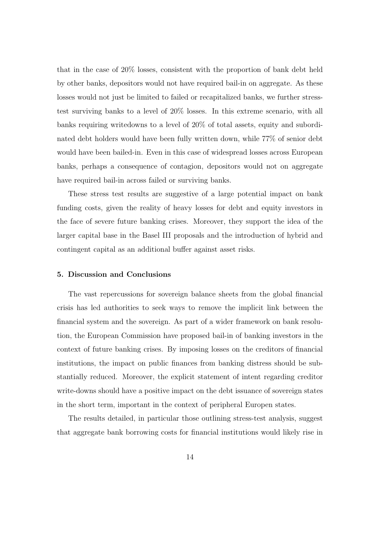that in the case of 20% losses, consistent with the proportion of bank debt held by other banks, depositors would not have required bail-in on aggregate. As these losses would not just be limited to failed or recapitalized banks, we further stresstest surviving banks to a level of 20% losses. In this extreme scenario, with all banks requiring writedowns to a level of 20% of total assets, equity and subordinated debt holders would have been fully written down, while 77% of senior debt would have been bailed-in. Even in this case of widespread losses across European banks, perhaps a consequence of contagion, depositors would not on aggregate have required bail-in across failed or surviving banks.

These stress test results are suggestive of a large potential impact on bank funding costs, given the reality of heavy losses for debt and equity investors in the face of severe future banking crises. Moreover, they support the idea of the larger capital base in the Basel III proposals and the introduction of hybrid and contingent capital as an additional buffer against asset risks.

#### 5. Discussion and Conclusions

The vast repercussions for sovereign balance sheets from the global financial crisis has led authorities to seek ways to remove the implicit link between the financial system and the sovereign. As part of a wider framework on bank resolution, the European Commission have proposed bail-in of banking investors in the context of future banking crises. By imposing losses on the creditors of financial institutions, the impact on public finances from banking distress should be substantially reduced. Moreover, the explicit statement of intent regarding creditor write-downs should have a positive impact on the debt issuance of sovereign states in the short term, important in the context of peripheral Europen states.

The results detailed, in particular those outlining stress-test analysis, suggest that aggregate bank borrowing costs for financial institutions would likely rise in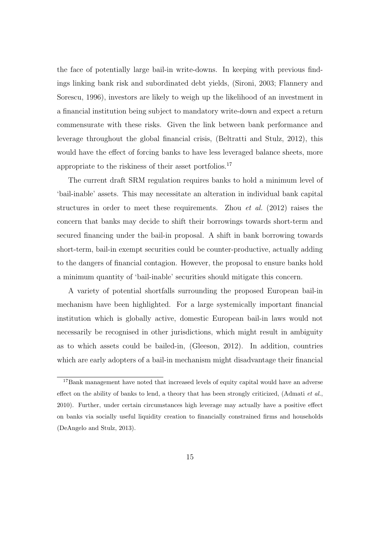the face of potentially large bail-in write-downs. In keeping with previous findings linking bank risk and subordinated debt yields, (Sironi, 2003; Flannery and Sorescu, 1996), investors are likely to weigh up the likelihood of an investment in a financial institution being subject to mandatory write-down and expect a return commensurate with these risks. Given the link between bank performance and leverage throughout the global financial crisis, (Beltratti and Stulz, 2012), this would have the effect of forcing banks to have less leveraged balance sheets, more appropriate to the riskiness of their asset portfolios.<sup>17</sup>

The current draft SRM regulation requires banks to hold a minimum level of 'bail-inable' assets. This may necessitate an alteration in individual bank capital structures in order to meet these requirements. Zhou *et al.* (2012) raises the concern that banks may decide to shift their borrowings towards short-term and secured financing under the bail-in proposal. A shift in bank borrowing towards short-term, bail-in exempt securities could be counter-productive, actually adding to the dangers of financial contagion. However, the proposal to ensure banks hold a minimum quantity of 'bail-inable' securities should mitigate this concern.

A variety of potential shortfalls surrounding the proposed European bail-in mechanism have been highlighted. For a large systemically important financial institution which is globally active, domestic European bail-in laws would not necessarily be recognised in other jurisdictions, which might result in ambiguity as to which assets could be bailed-in, (Gleeson, 2012). In addition, countries which are early adopters of a bail-in mechanism might disadvantage their financial

<sup>&</sup>lt;sup>17</sup>Bank management have noted that increased levels of equity capital would have an adverse effect on the ability of banks to lend, a theory that has been strongly criticized, (Admati et al., 2010). Further, under certain circumstances high leverage may actually have a positive effect on banks via socially useful liquidity creation to financially constrained firms and households (DeAngelo and Stulz, 2013).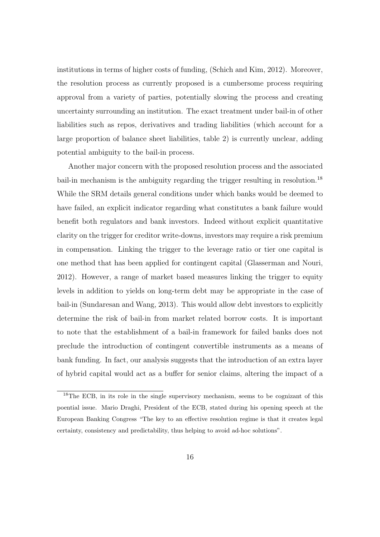institutions in terms of higher costs of funding, (Schich and Kim, 2012). Moreover, the resolution process as currently proposed is a cumbersome process requiring approval from a variety of parties, potentially slowing the process and creating uncertainty surrounding an institution. The exact treatment under bail-in of other liabilities such as repos, derivatives and trading liabilities (which account for a large proportion of balance sheet liabilities, table 2) is currently unclear, adding potential ambiguity to the bail-in process.

Another major concern with the proposed resolution process and the associated bail-in mechanism is the ambiguity regarding the trigger resulting in resolution.<sup>18</sup> While the SRM details general conditions under which banks would be deemed to have failed, an explicit indicator regarding what constitutes a bank failure would benefit both regulators and bank investors. Indeed without explicit quantitative clarity on the trigger for creditor write-downs, investors may require a risk premium in compensation. Linking the trigger to the leverage ratio or tier one capital is one method that has been applied for contingent capital (Glasserman and Nouri, 2012). However, a range of market based measures linking the trigger to equity levels in addition to yields on long-term debt may be appropriate in the case of bail-in (Sundaresan and Wang, 2013). This would allow debt investors to explicitly determine the risk of bail-in from market related borrow costs. It is important to note that the establishment of a bail-in framework for failed banks does not preclude the introduction of contingent convertible instruments as a means of bank funding. In fact, our analysis suggests that the introduction of an extra layer of hybrid capital would act as a buffer for senior claims, altering the impact of a

<sup>&</sup>lt;sup>18</sup>The ECB, in its role in the single supervisory mechanism, seems to be cognizant of this poential issue. Mario Draghi, President of the ECB, stated during his opening speech at the European Banking Congress "The key to an effective resolution regime is that it creates legal certainty, consistency and predictability, thus helping to avoid ad-hoc solutions".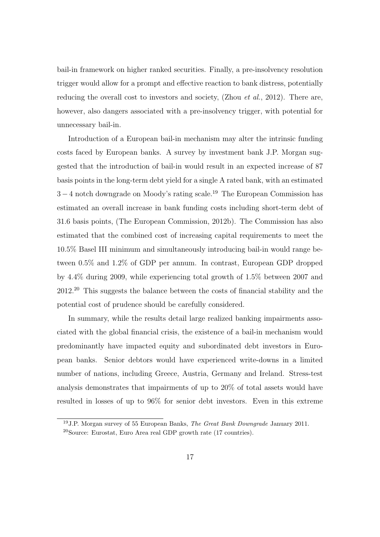bail-in framework on higher ranked securities. Finally, a pre-insolvency resolution trigger would allow for a prompt and effective reaction to bank distress, potentially reducing the overall cost to investors and society, (Zhou *et al.*, 2012). There are, however, also dangers associated with a pre-insolvency trigger, with potential for unnecessary bail-in.

Introduction of a European bail-in mechanism may alter the intrinsic funding costs faced by European banks. A survey by investment bank J.P. Morgan suggested that the introduction of bail-in would result in an expected increase of 87 basis points in the long-term debt yield for a single A rated bank, with an estimated 3 − 4 notch downgrade on Moody's rating scale.<sup>19</sup> The European Commission has estimated an overall increase in bank funding costs including short-term debt of 31.6 basis points, (The European Commission, 2012b). The Commission has also estimated that the combined cost of increasing capital requirements to meet the 10.5% Basel III minimum and simultaneously introducing bail-in would range between 0.5% and 1.2% of GDP per annum. In contrast, European GDP dropped by 4.4% during 2009, while experiencing total growth of 1.5% between 2007 and 2012.<sup>20</sup> This suggests the balance between the costs of financial stability and the potential cost of prudence should be carefully considered.

In summary, while the results detail large realized banking impairments associated with the global financial crisis, the existence of a bail-in mechanism would predominantly have impacted equity and subordinated debt investors in European banks. Senior debtors would have experienced write-downs in a limited number of nations, including Greece, Austria, Germany and Ireland. Stress-test analysis demonstrates that impairments of up to 20% of total assets would have resulted in losses of up to 96% for senior debt investors. Even in this extreme

<sup>&</sup>lt;sup>19</sup> J.P. Morgan survey of 55 European Banks, *The Great Bank Downgrade* January 2011. <sup>20</sup>Source: Eurostat, Euro Area real GDP growth rate (17 countries).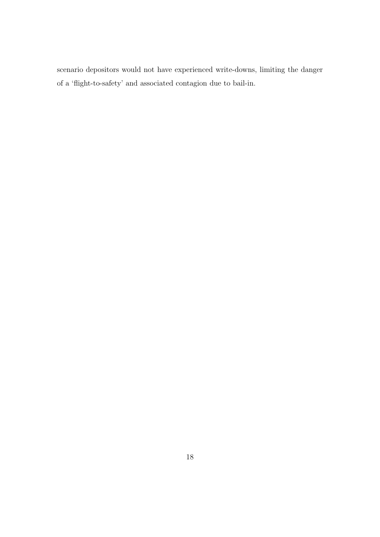scenario depositors would not have experienced write-downs, limiting the danger of a 'flight-to-safety' and associated contagion due to bail-in.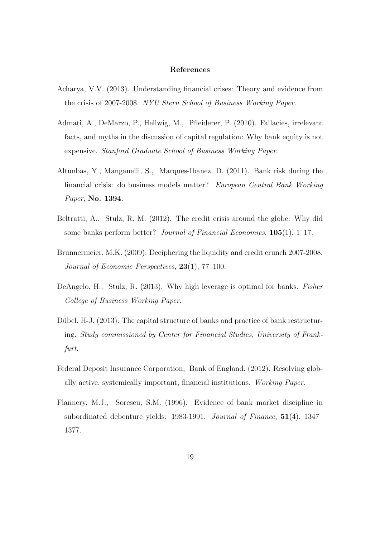### References

- Acharya, V.V. (2013). Understanding financial crises: Theory and evidence from the crisis of 2007-2008. NYU Stern School of Business Working Paper.
- Admati, A., DeMarzo, P., Hellwig, M., Pfleiderer, P. (2010). Fallacies, irrelevant facts, and myths in the discussion of capital regulation: Why bank equity is not expensive. Stanford Graduate School of Business Working Paper.
- Altunbas, Y., Manganelli, S., Marques-Ibanez, D. (2011). Bank risk during the financial crisis: do business models matter? European Central Bank Working Paper, No. 1394.
- Beltratti, A., Stulz, R. M. (2012). The credit crisis around the globe: Why did some banks perform better? Journal of Financial Economics,  $105(1)$ , 1–17.
- Brunnermeier, M.K. (2009). Deciphering the liquidity and credit crunch 2007-2008. Journal of Economic Perspectives, 23(1), 77–100.
- DeAngelo, H., Stulz, R. (2013). Why high leverage is optimal for banks. Fisher College of Business Working Paper.
- Dübel,  $H-J.$  (2013). The capital structure of banks and practice of bank restructuring. Study commissioned by Center for Financial Studies, University of Frankfurt.
- Federal Deposit Insurance Corporation, Bank of England. (2012). Resolving globally active, systemically important, financial institutions. Working Paper.
- Flannery, M.J., Sorescu, S.M. (1996). Evidence of bank market discipline in subordinated debenture yields: 1983-1991. Journal of Finance, 51(4), 1347-1377.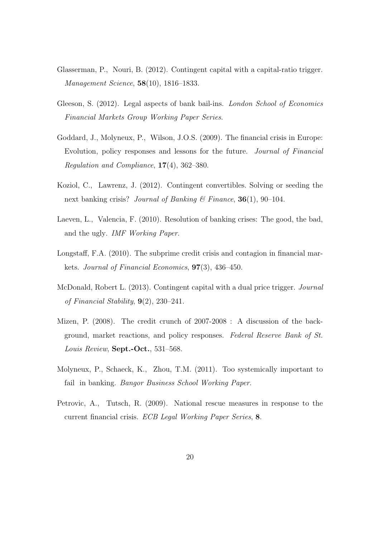- Glasserman, P., Nouri, B. (2012). Contingent capital with a capital-ratio trigger. Management Science, 58(10), 1816–1833.
- Gleeson, S. (2012). Legal aspects of bank bail-ins. *London School of Economics* Financial Markets Group Working Paper Series.
- Goddard, J., Molyneux, P., Wilson, J.O.S. (2009). The financial crisis in Europe: Evolution, policy responses and lessons for the future. Journal of Financial Regulation and Compliance,  $17(4)$ ,  $362-380$ .
- Koziol, C., Lawrenz, J. (2012). Contingent convertibles. Solving or seeding the next banking crisis? Journal of Banking & Finance,  $36(1)$ ,  $90-104$ .
- Laeven, L., Valencia, F. (2010). Resolution of banking crises: The good, the bad, and the ugly. IMF Working Paper.
- Longstaff, F.A. (2010). The subprime credit crisis and contagion in financial markets. Journal of Financial Economics, 97(3), 436–450.
- McDonald, Robert L. (2013). Contingent capital with a dual price trigger. Journal of Financial Stability,  $9(2)$ ,  $230-241$ .
- Mizen, P. (2008). The credit crunch of 2007-2008 : A discussion of the background, market reactions, and policy responses. Federal Reserve Bank of St. Louis Review, Sept.-Oct., 531–568.
- Molyneux, P., Schaeck, K., Zhou, T.M. (2011). Too systemically important to fail in banking. Bangor Business School Working Paper.
- Petrovic, A., Tutsch, R. (2009). National rescue measures in response to the current financial crisis. ECB Legal Working Paper Series, 8.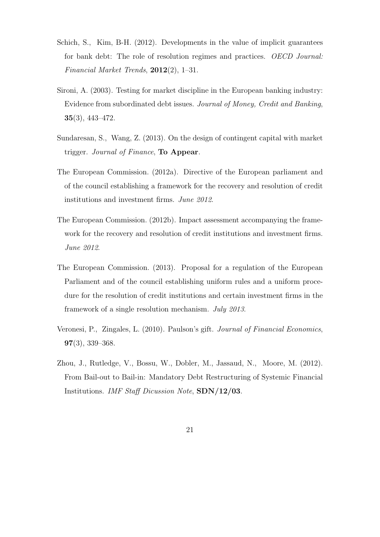- Schich, S., Kim, B-H. (2012). Developments in the value of implicit guarantees for bank debt: The role of resolution regimes and practices. OECD Journal: Financial Market Trends, 2012(2), 1–31.
- Sironi, A. (2003). Testing for market discipline in the European banking industry: Evidence from subordinated debt issues. Journal of Money, Credit and Banking, 35(3), 443–472.
- Sundaresan, S., Wang, Z. (2013). On the design of contingent capital with market trigger. Journal of Finance, **To Appear**.
- The European Commission. (2012a). Directive of the European parliament and of the council establishing a framework for the recovery and resolution of credit institutions and investment firms. June 2012.
- The European Commission. (2012b). Impact assessment accompanying the framework for the recovery and resolution of credit institutions and investment firms. June 2012.
- The European Commission. (2013). Proposal for a regulation of the European Parliament and of the council establishing uniform rules and a uniform procedure for the resolution of credit institutions and certain investment firms in the framework of a single resolution mechanism. July 2013.
- Veronesi, P., Zingales, L. (2010). Paulson's gift. Journal of Financial Economics, 97(3), 339–368.
- Zhou, J., Rutledge, V., Bossu, W., Dobler, M., Jassaud, N., Moore, M. (2012). From Bail-out to Bail-in: Mandatory Debt Restructuring of Systemic Financial Institutions. IMF Staff Dicussion Note, SDN/12/03.

21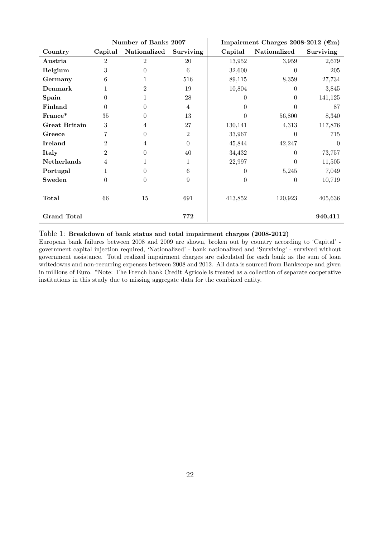|                      | Number of Banks 2007 |                |                |          | Impairment Charges 2008-2012 ( $\epsilon$ m) |           |  |  |
|----------------------|----------------------|----------------|----------------|----------|----------------------------------------------|-----------|--|--|
| Country              | Capital              | Nationalized   | Surviving      | Capital  | Nationalized                                 | Surviving |  |  |
| Austria              | $\overline{2}$       | 2              | 20             | 13,952   | 3,959                                        | 2,679     |  |  |
| <b>Belgium</b>       | $\sqrt{3}$           | 0              | 6              | 32,600   | $\Omega$                                     | 205       |  |  |
| Germany              | 6                    |                | 516            | 89,115   | 8,359                                        | 27,734    |  |  |
| Denmark              | 1                    | $\overline{2}$ | 19             | 10,804   | $\Omega$                                     | 3,845     |  |  |
| Spain                | $\theta$             |                | 28             | 0        | $\Omega$                                     | 141,125   |  |  |
| Finland              | $\theta$             | $\theta$       | $\overline{4}$ | $\Omega$ | 0                                            | 87        |  |  |
| France*              | 35                   | $\overline{0}$ | 13             | 0        | 56,800                                       | 8,340     |  |  |
| <b>Great Britain</b> | $\sqrt{3}$           | 4              | $27\,$         | 130,141  | 4,313                                        | 117,876   |  |  |
| Greece               | 7                    | $\theta$       | $\overline{2}$ | 33,967   | 0                                            | 715       |  |  |
| <b>Ireland</b>       | $\overline{2}$       | 4              | $\Omega$       | 45,844   | 42,247                                       | $\Omega$  |  |  |
| Italy                | $\overline{2}$       | $\theta$       | 40             | 34,432   | 0                                            | 73,757    |  |  |
| <b>Netherlands</b>   | $\overline{4}$       |                | 1              | 22,997   | $\Omega$                                     | 11,505    |  |  |
| Portugal             | 1                    | 0              | 6              | 0        | 5,245                                        | 7,049     |  |  |
| Sweden               | $\theta$             | $\theta$       | 9              | $\theta$ | $\theta$                                     | 10,719    |  |  |
|                      |                      |                |                |          |                                              |           |  |  |
| Total                | 66                   | 15             | 691            | 413,852  | 120,923                                      | 405,636   |  |  |
|                      |                      |                |                |          |                                              |           |  |  |
| <b>Grand Total</b>   |                      |                | 772            |          |                                              | 940,411   |  |  |

## Table 1: Breakdown of bank status and total impairment charges (2008-2012)

European bank failures between 2008 and 2009 are shown, broken out by country according to 'Capital' government capital injection required, 'Nationalized' - bank nationalized and 'Surviving' - survived without government assistance. Total realized impairment charges are calculated for each bank as the sum of loan writedowns and non-recurring expenses between 2008 and 2012. All data is sourced from Bankscope and given in millions of Euro. \*Note: The French bank Credit Agricole is treated as a collection of separate cooperative institutions in this study due to missing aggregate data for the combined entity.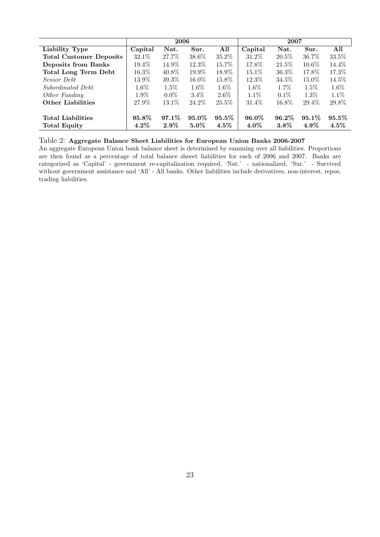|                                                 | 2006             |                     |                  |                     | 2007             |                     |                     |                     |
|-------------------------------------------------|------------------|---------------------|------------------|---------------------|------------------|---------------------|---------------------|---------------------|
| Liability Type                                  | Capital          | Nat.                | Sur.             | All                 | Capital          | Nat.                | Sur.                | All                 |
| <b>Total Customer Deposits</b>                  | $32.1\%$         | 27.7%               | 38.6%            | $35.2\%$            | 31.2\%           | $20.5\%$            | 36.7%               | 33.5%               |
| <b>Deposits from Banks</b>                      | $19.4\%$         | $14.9\%$            | 12.3%            | $15.7\%$            | 17.8%            | 21.5%               | 10.6%               | 14.4\%              |
| <b>Total Long Term Debt</b>                     | $16.3\%$         | 40.8%               | 19.9%            | 18.9%               | $15.1\%$         | 36.3%               | 17.8%               | 17.3%               |
| <i>Senior Debt</i>                              | 13.9%            | 39.3%               | $16.0\%$         | $15.8\%$            | 12.3%            | 34.5%               | 15.0%               | 14.5%               |
| Subordinated Debt                               | $1.6\%$          | $1.5\%$             | $1.6\%$          | $1.6\%$             | $1.6\%$          | $1.7\%$             | $1.5\%$             | $1.6\%$             |
| Other Funding                                   | $1.9\%$          | $0.0\%$             | $3.4\%$          | $2.6\%$             | $1.1\%$          | $0.1\%$             | $1.3\%$             | $1.1\%$             |
| <b>Other Liabilities</b>                        | 27.9%            | 13.1\%              | 24.2%            | $25.5\%$            | 31.4\%           | 16.8%               | 29.4%               | 29.8%               |
| <b>Total Liabilities</b><br><b>Total Equity</b> | 95.8%<br>$4.2\%$ | $97.1\%$<br>$2.9\%$ | 95.0%<br>$5.0\%$ | $95.5\%$<br>$4.5\%$ | 96.0%<br>$4.0\%$ | $96.2\%$<br>$3.8\%$ | $95.1\%$<br>$4.9\%$ | $95.5\%$<br>$4.5\%$ |

### Table 2: Aggregate Balance Sheet Liabilities for European Union Banks 2006-2007

An aggregate European Union bank balance sheet is determined by summing over all liabilities. Proportions are then found as a percentage of total balance sheeet liabilities for each of 2006 and 2007. Banks are categorized as 'Capital' - government re-capitalization required, 'Nat.' - nationalized, 'Sur.' - Survived without government assistance and 'All' - All banks. Other liabilities include derivatives, non-interest, repos, trading liabilities.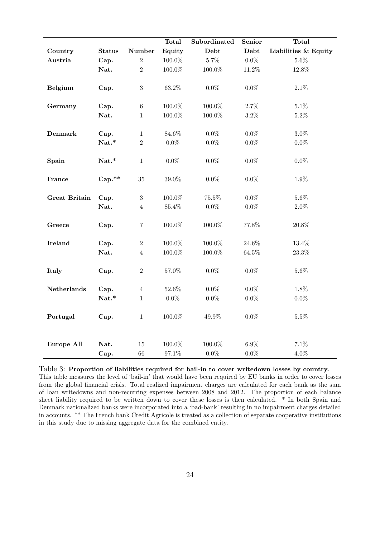|                      |               |                                | <b>Total</b>     | Subordinated       | <b>Senior</b>      | <b>Total</b>         |
|----------------------|---------------|--------------------------------|------------------|--------------------|--------------------|----------------------|
| Country              | <b>Status</b> | Number                         | Equity           | Debt               | Debt               | Liabilities & Equity |
| Austria              | Cap.          | $\overline{2}$                 | $100.0\%$        | $5.7\%$            | $0.0\%$            | $5.6\%$              |
|                      | Nat.          | $\overline{2}$                 | 100.0%           | 100.0%             | 11.2%              | 12.8%                |
| <b>Belgium</b>       | Cap.          | $\sqrt{3}$                     | $63.2\%$         | $0.0\%$            | $0.0\%$            | $2.1\%$              |
| Germany              | Cap.          | $\,6\,$                        | $100.0\%$        | $100.0\%$          | $2.7\%$            | $5.1\%$              |
|                      | Nat.          | $\mathbf{1}$                   | 100.0%           | 100.0%             | $3.2\%$            | $5.2\%$              |
| <b>Denmark</b>       | Cap.<br>Nat.* | $\mathbf{1}$<br>$\overline{2}$ | 84.6%<br>$0.0\%$ | $0.0\%$<br>$0.0\%$ | $0.0\%$<br>$0.0\%$ | $3.0\%$<br>$0.0\%$   |
| Spain                | Nat.*         | $\mathbf{1}$                   | $0.0\%$          | $0.0\%$            | $0.0\%$            | $0.0\%$              |
| France               | $Cap.**$      | 35                             | 39.0%            | $0.0\%$            | $0.0\%$            | 1.9%                 |
| <b>Great Britain</b> | Cap.          | $\sqrt{3}$                     | 100.0%           | 75.5%              | $0.0\%$            | $5.6\%$              |
|                      | Nat.          | $\overline{4}$                 | $85.4\%$         | $0.0\%$            | $0.0\%$            | $2.0\%$              |
| Greece               | Cap.          | $\overline{7}$                 | 100.0%           | 100.0%             | 77.8%              | 20.8%                |
| <b>Ireland</b>       | Cap.          | $\,2$                          | 100.0%           | 100.0%             | 24.6%              | 13.4%                |
|                      | Nat.          | $\overline{4}$                 | 100.0%           | 100.0%             | 64.5%              | $23.3\%$             |
| Italy                | Cap.          | $\sqrt{2}$                     | $57.0\%$         | $0.0\%$            | $0.0\%$            | $5.6\%$              |
| Netherlands          | Cap.          | $\overline{4}$                 | $52.6\%$         | $0.0\%$            | $0.0\%$            | 1.8%                 |
|                      | Nat.*         | $\mathbf{1}$                   | $0.0\%$          | $0.0\%$            | $0.0\%$            | $0.0\%$              |
| Portugal             | Cap.          | $\mathbf{1}$                   | $100.0\%$        | $49.9\%$           | $0.0\%$            | $5.5\%$              |
| Europe All           | Nat.          | 15                             | $100.0\%$        | $100.0\%$          | $6.9\%$            | $7.1\%$              |
|                      | Cap.          | 66                             | 97.1%            | $0.0\%$            | $0.0\%$            | $4.0\%$              |

### Table 3: Proportion of liabilities required for bail-in to cover writedown losses by country.

This table measures the level of 'bail-in' that would have been required by EU banks in order to cover losses from the global financial crisis. Total realized impairment charges are calculated for each bank as the sum of loan writedowns and non-recurring expenses between 2008 and 2012. The proportion of each balance sheet liability required to be written down to cover these losses is then calculated. \* In both Spain and Denmark nationalized banks were incorporated into a 'bad-bank' resulting in no impairment charges detailed in accounts. \*\* The French bank Credit Agricole is treated as a collection of separate cooperative institutions in this study due to missing aggregate data for the combined entity.